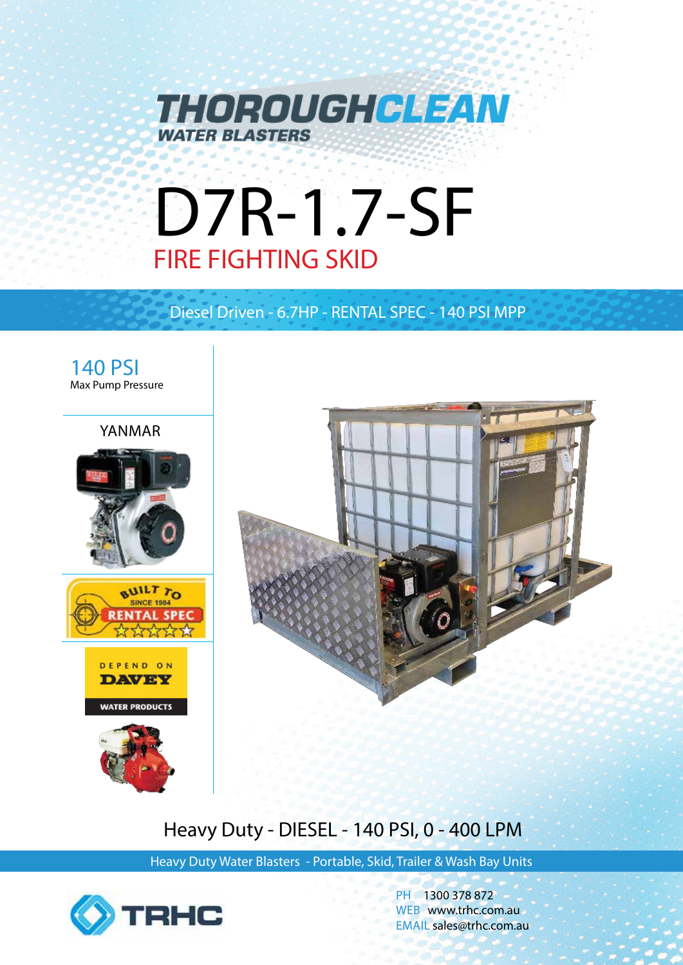

# D7R-1.7-SF FIRE FIGHTING SKID

Diesel Driven - 6.7HP - RENTAL SPEC - 140 PSI MPP



# Heavy Duty - DIESEL - 140 PSI, 0 - 400 LPM

Heavy Duty Water Blasters - Portable, Skid, Trailer & Wash Bay Units



PH 1300 378 872 WEB www.trhc.com.au EMAIL sales@trhc.com.au